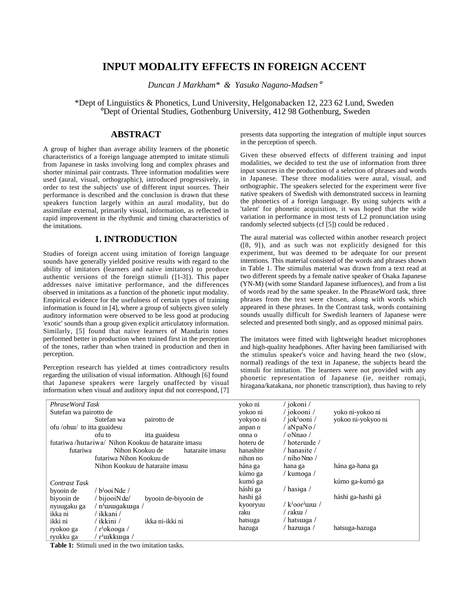# **INPUT MODALITY EFFECTS IN FOREIGN ACCENT**

*Duncan J Markham\* & Yasuko Nagano-Madsen*°

\*Dept of Linguistics & Phonetics, Lund University, Helgonabacken 12, 223 62 Lund, Sweden °Dept of Oriental Studies, Gothenburg University, 412 98 Gothenburg, Sweden

## **ABSTRACT**

A group of higher than average ability learners of the phonetic characteristics of a foreign language attempted to imitate stimuli from Japanese in tasks involving long and complex phrases and shorter minimal pair contrasts. Three information modalities were used (aural, visual, orthographic), introduced progressively, in order to test the subjects' use of different input sources. Their performance is described and the conclusion is drawn that these speakers function largely within an aural modality, but do assimilate external, primarily visual, information, as reflected in rapid improvement in the rhythmic and timing characteristics of the imitations.

## **1. INTRODUCTION**

Studies of foreign accent using imitation of foreign language sounds have generally yielded positive results with regard to the ability of imitators (learners and naive imitators) to produce authentic versions of the foreign stimuli ([1-3]). This paper addresses naive imitative performance, and the differences observed in imitations as a function of the phonetic input modality. Empirical evidence for the usefulness of certain types of training information is found in [4], where a group of subjects given solely auditory information were observed to be less good at producing 'exotic' sounds than a group given explicit articulatory information. Similarly, [5] found that naive learners of Mandarin tones performed better in production when trained first in the perception of the tones, rather than when trained in production and then in perception.

Perception research has yielded at times contradictory results regarding the utilisation of visual information. Although [6] found that Japanese speakers were largely unaffected by visual information when visual and auditory input did not correspond, [7]

presents data supporting the integration of multiple input sources in the perception of speech.

Given these observed effects of different training and input modalities, we decided to test the use of information from three input sources in the production of a selection of phrases and words in Japanese. These three modalities were aural, visual, and orthographic. The speakers selected for the experiment were five native speakers of Swedish with demonstrated success in learning the phonetics of a foreign language. By using subjects with a 'talent' for phonetic acquisition, it was hoped that the wide variation in performance in most tests of L2 pronunciation using randomly selected subjects (cf [5]) could be reduced .

The aural material was collected within another research project ([8, 9]), and as such was not explicitly designed for this experiment, but was deemed to be adequate for our present intentions. This material consisted of the words and phrases shown in Table 1. The stimulus material was drawn from a text read at two different speeds by a female native speaker of Osaka Japanese (YN-M) (with some Standard Japanese influences), and from a list of words read by the same speaker. In the PhraseWord task, three phrases from the text were chosen, along with words which appeared in these phrases. In the Contrast task, words containing sounds usually difficult for Swedish learners of Japanese were selected and presented both singly, and as opposed minimal pairs.

The imitators were fitted with lightweight headset microphones and high-quality headphones. After having been familiarised with the stimulus speaker's voice and having heard the two (slow, normal) readings of the text in Japanese, the subjects heard the stimuli for imitation. The learners were not provided with any phonetic representation of Japanese (ie, neither romaji, hiragana/katakana, nor phonetic transcription), thus having to rely

| PhraseWord Task                                          | yoko ni   | / jokoni /                                   |                    |
|----------------------------------------------------------|-----------|----------------------------------------------|--------------------|
| Sutefan wa pairotto de                                   | yokoo ni  | / jokooni /                                  | yoko ni-yokoo ni   |
| Sutefan wa<br>pairotto de                                | yokyoo ni | / jok <sup>j</sup> ooni /                    | yokoo ni-yokyoo ni |
| ofu /ohu/ to itta guaidesu                               | anpan o   | aNpaNo/                                      |                    |
| itta guaidesu<br>ofu to                                  | onna o    | $\alpha$ Nnao /                              |                    |
| futariwa /hutariwa/ Nihon Kookuu de hataraite imasu      | hoteru de | / hoteruide /                                |                    |
| Nihon Kookuu de<br>hataraite imasu<br>futariwa           | hanashite | / hanasite /                                 |                    |
| futariwa Nihon Kookuu de                                 | nihon no  | $^\prime$ niho Nno $^\prime$                 |                    |
| Nihon Kookuu de hataraite imasu                          | hána ga   | hana ga                                      | hána ga-hana ga    |
|                                                          | kúmo ga   | / kumoqa /                                   |                    |
| <b>Contrast Task</b>                                     | kumó ga   |                                              | kúmo ga-kumó ga    |
| / b <sup>j</sup> ooi Nde /<br>byooin de                  | háshi ga  | $/$ hasiga $/$                               |                    |
| biyooin de<br>$/$ bijooiN de $/$<br>byooin de-biyooin de | hashi gá  |                                              | háshi ga-hashi gá  |
| / n <sup>j</sup> uiuqakuiqa /<br>nyuugaku ga             | kyooryuu  | $/k^{j}$ 000 <sup><math>j</math></sup> unu / |                    |
| / ikkani /<br>ikka ni                                    | raku      | / rakuı /                                    |                    |
| ′ ikkini ∕<br>ikka ni-ikki ni<br>ikki ni                 | hatsuga   | / hatsuiqa /                                 |                    |
| / r <sup>j</sup> okooga /<br>ryokoo ga                   | hazuga    | / hazurqa /                                  | hatsuga-hazuga     |
| / r <sup>j</sup> uikkuiga /<br>ryukku ga                 |           |                                              |                    |

**Table 1:** Stimuli used in the two imitation tasks.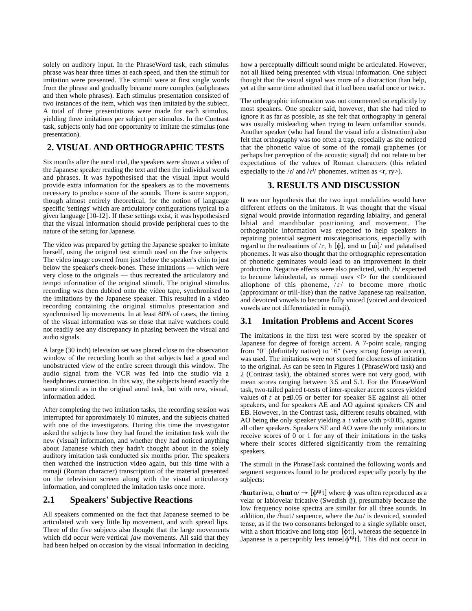solely on auditory input. In the PhraseWord task, each stimulus phrase was hear three times at each speed, and then the stimuli for imitation were presented. The stimuli were at first single words from the phrase and gradually became more complex (subphrases and then whole phrases). Each stimulus presentation consisted of two instances of the item, which was then imitated by the subject. A total of three presentations were made for each stimulus, yielding three imitations per subject per stimulus. In the Contrast task, subjects only had one opportunity to imitate the stimulus (one presentation).

### **2. VISUAL AND ORTHOGRAPHIC TESTS**

Six months after the aural trial, the speakers were shown a video of the Japanese speaker reading the text and then the individual words and phrases. It was hypothesised that the visual input would provide extra information for the speakers as to the movements necessary to produce some of the sounds. There is some support, though almost entirely theoretical, for the notion of language specific 'settings' which are articulatory configurations typical to a given language [10-12]. If these settings exist, it was hypothesised that the visual information should provide peripheral cues to the nature of the setting for Japanese.

The video was prepared by getting the Japanese speaker to imitate herself, using the original test stimuli used on the five subjects. The video image covered from just below the speaker's chin to just below the speaker's cheek-bones. These imitations — which were very close to the originals — thus recreated the articulatory and tempo information of the original stimuli. The original stimulus recording was then dubbed onto the video tape, synchronised to the imitations by the Japanese speaker. This resulted in a video recording containing the original stimulus presentation and synchronised lip movements. In at least 80% of cases, the timing of the visual information was so close that naive watchers could not readily see any discrepancy in phasing between the visual and audio signals.

A large (30 inch) television set was placed close to the observation window of the recording booth so that subjects had a good and unobstructed view of the entire screen through this window. The audio signal from the VCR was fed into the studio via a headphones connection. In this way, the subjects heard exactly the same stimuli as in the original aural task, but with new, visual, information added.

After completing the two imitation tasks, the recording session was interrupted for approximately 10 minutes, and the subjects chatted with one of the investigators. During this time the investigator asked the subjects how they had found the imitation task with the new (visual) information, and whether they had noticed anything about Japanese which they hadn't thought about in the solely auditory imitation task conducted six months prior. The speakers then watched the instruction video again, but this time with a romaji (Roman character) transcription of the material presented on the television screen along with the visual articulatory information, and completed the imitation tasks once more.

#### **2.1 Speakers' Subjective Reactions**

All speakers commented on the fact that Japanese seemed to be articulated with very little lip movement, and with spread lips. Three of the five subjects also thought that the large movements which did occur were vertical *jaw* movements. All said that they had been helped on occasion by the visual information in deciding

how a perceptually difficult sound might be articulated. However, not all liked being presented with visual information. One subject thought that the visual signal was more of a distraction than help, yet at the same time admitted that it had been useful once or twice.

The orthographic information was not commented on explicitly by most speakers. One speaker said, however, that she had tried to ignore it as far as possible, as she felt that orthography in general was usually misleading when trying to learn unfamiliar sounds. Another speaker (who had found the visual info a distraction) also felt that orthography was too often a trap, especially as she noticed that the phonetic value of some of the romaji graphemes (or perhaps her perception of the acoustic signal) did not relate to her expectations of the values of Roman characters (this related especially to the  $\sqrt{\rho'}$  and  $\sqrt{\rho'}$  phonemes, written as  $\langle r, r \rangle$ .

## **3. RESULTS AND DISCUSSION**

It was our hypothesis that the two input modalities would have different effects on the imitators. It was thought that the visual signal would provide information regarding labiality, and general labial and mandibular positioning and movement. The orthographic information was expected to help speakers in repairing potential segment miscategorisations, especially with regard to the realisations of  $/r$ , h  $[\phi]$ , and  $\pi$   $[\tilde{\mathbf{w}}]$  and palatalised phonemes. It was also thought that the orthographic representation of phonetic geminates would lead to an improvement in their production. Negative effects were also predicted, with /h/ expected to become labiodental, as romaji uses  $\leq f$  for the conditioned allophone of this phoneme,  $\int f /$  to become more rhotic (approximant or trill-like) than the native Japanese tap realisation, and devoiced vowels to become fully voiced (voiced and devoiced vowels are not differentiated in romaji).

#### **3.1 Imitation Problems and Accent Scores**

The imitations in the first test were scored by the speaker of Japanese for degree of foreign accent. A 7-point scale, ranging from "0" (definitely native) to "6" (very strong foreign accent), was used. The imitations were *not* scored for closeness of imitation to the original. As can be seen in Figures 1 (PhraseWord task) and 2 (Contrast task), the obtained scores were not very good, with mean scores ranging between 3.5 and 5.1. For the PhraseWord task, two-tailed paired t-tests of inter-speaker accent scores yielded values of  $t$  at  $p \leq 0.05$  or better for speaker SE against all other speakers, and for speakers AE and AO against speakers CN and EB. However, in the Contrast task, different results obtained, with AO being the only speaker yielding a *t* value with p<0.05, against all other speakers. Speakers SE and AO were the only imitators to receive scores of 0 or 1 for any of their imitations in the tasks where their scores differed significantly from the remaining speakers.

The stimuli in the PhraseTask contained the following words and segment sequences found to be produced especially poorly by the subjects:

/**huta**riwa, o**hut**o/  $\rightarrow$  [ $\phi^{\text{up}}$ t] where  $\phi$  was often reproduced as a velar or labiovelar fricative (Swedish ß), presumably because the low frequency noise spectra are similar for all three sounds. In addition, the /hut/ sequence, where the / $ui$  is devoiced, sounded tense, as if the two consonants belonged to a single syllable onset, with a short fricative and long stop  $[\phi t$ t:], whereas the sequence in Japanese is a perceptibly less tense[ $\phi^{\text{up}}(t)$ ]. This did not occur in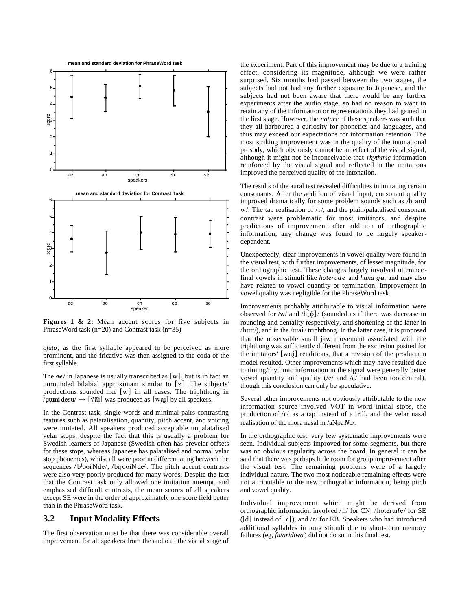

Figures 1 & 2: Mean accent scores for five subjects in PhraseWord task (n=20) and Contrast task (n=35)

*ofuto*, as the first syllable appeared to be perceived as more prominent, and the fricative was then assigned to the coda of the first syllable.

The  $\sqrt{w}$  in Japanese is usually transcribed as  $[w]$ , but is in fact an unrounded bilabial approximant similar to  $[\gamma]$ . The subjects' productions sounded like  $[w]$  in all cases. The triphthong in  $\gamma$ g**urai**desu $\rightarrow$  [ $\check{\gamma}$ ãi] was produced as [wai] by all speakers.

In the Contrast task, single words and minimal pairs contrasting features such as palatalisation, quantity, pitch accent, and voicing were imitated. All speakers produced acceptable unpalatalised velar stops, despite the fact that this is usually a problem for Swedish learners of Japanese (Swedish often has prevelar offsets for these stops, whereas Japanese has palatalised and normal velar stop phonemes), whilst all were poor in differentiating between the sequences  $/b<sup>j</sup>ooiNde/$ ,  $/b<sup>j</sup>iooiNde/$ . The pitch accent contrasts were also very poorly produced for many words. Despite the fact that the Contrast task only allowed one imitation attempt, and emphasised difficult contrasts, the mean scores of all speakers except SE were in the order of approximately one score field better than in the PhraseWord task.

#### **3.2 Input Modality Effects**

The first observation must be that there was considerable overall improvement for all speakers from the audio to the visual stage of

the experiment. Part of this improvement may be due to a training effect, considering its magnitude, although we were rather surprised. Six months had passed between the two stages, the subjects had not had any further exposure to Japanese, and the subjects had not been aware that there would be any further experiments after the audio stage, so had no reason to want to retain any of the information or representations they had gained in the first stage. However, the *nature* of these speakers was such that they all harboured a curiosity for phonetics and languages, and thus may exceed our expectations for information retention. The most striking improvement was in the quality of the intonational prosody, which obviously cannot be an effect of the visual signal, although it might not be inconceivable that *rhythmic* information reinforced by the visual signal and reflected in the imitations improved the perceived quality of the intonation.

The results of the aural test revealed difficulties in imitating certain consonants. After the addition of visual input, consonant quality improved dramatically for some problem sounds such as /h and  $w/$ . The tap realisation of  $/r/$ , and the plain/palatalised consonant contrast were problematic for most imitators, and despite predictions of improvement after addition of orthographic information, any change was found to be largely speakerdependent.

Unexpectedly, clear improvements in vowel quality were found in the visual test, with further improvements, of lesser magnitude, for the orthographic test. These changes largely involved utterancefinal vowels in stimuli like *hoterude* and *hana ga*, and may also have related to vowel quantity or termination. Improvement in vowel quality was negligible for the PhraseWord task.

Improvements probably attributable to visual information were observed for /w/ and /h[ $\phi$ ]/ (sounded as if there was decrease in rounding and dentality respectively, and shortening of the latter in /hüt/), and in the /üai/ triphthong. In the latter case, it is proposed that the observable small jaw movement associated with the triphthong was sufficiently different from the excursion posited for the imitators'  $[wai]$  renditions, that a revision of the production model resulted. Other improvements which may have resulted due to timing/rhythmic information in the signal were generally better vowel quantity and quality (/e/ and /a/ had been too central), though this conclusion can only be speculative.

Several other improvements not obviously attributable to the new information source involved VOT in word initial stops, the production of  $\Gamma/\Lambda$  as a tap instead of a trill, and the velar nasal realisation of the mora nasal in /aNpa*N*o/.

In the orthographic test, very few systematic improvements were seen. Individual subjects improved for some segments, but there was no obvious regularity across the board. In general it can be said that there was perhaps little room for group improvement after the visual test. The remaining problems were of a largely individual nature. The two most noticeable remaining effects were not attributable to the new orthograhic information, being pitch and vowel quality.

Individual improvement which might be derived from orthographic information involved /h/ for CN, /hoterude/ for SE ([d] instead of  $\lceil \frac{r}{\epsilon} \rceil$ ), and  $\frac{r}{\epsilon}$  for EB. Speakers who had introduced additional syllables in long stimuli due to short-term memory failures (eg, *futaridiwa*) did not do so in this final test.